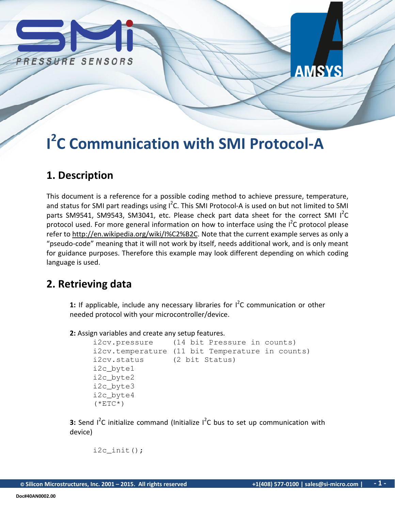

# **AMSYS**

where  $\mathbb{Z}$ 

# I 2 C Communication with SMI Protocol-A

# 1. Description

This document is a reference for a possible coding method to achieve pressure, temperature, and status for SMI part readings using I<sup>2</sup>C. This SMI Protocol-A is used on but not limited to SMI parts SM9541, SM9543, SM3041, etc. Please check part data sheet for the correct SMI I<sup>2</sup>C protocol used. For more general information on how to interface using the  $I^2C$  protocol please refer to http://en.wikipedia.org/wiki/I%C2%B2C. Note that the current example serves as only a "pseudo-code" meaning that it will not work by itself, needs additional work, and is only meant for guidance purposes. Therefore this example may look different depending on which coding language is used.

## 2. Retrieving data

1: If applicable, include any necessary libraries for  $1^2C$  communication or other needed protocol with your microcontroller/device.

2: Assign variables and create any setup features.

```
i2cv.pressure (14 bit Pressure in counts) 
i2cv.temperature (11 bit Temperature in counts) 
i2cv.status (2 bit Status) 
i2c_byte1 
i2c_byte2 
i2c_byte3 
i2c_byte4 
(*ETC*)
```
**3:** Send  $I^2C$  initialize command (Initialize  $I^2C$  bus to set up communication with device)

```
i2c_init();
```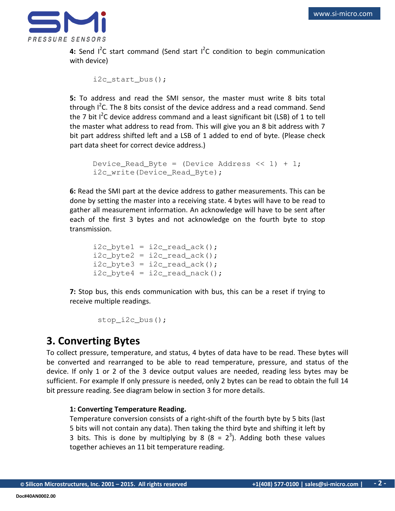

4: Send  $I^2C$  start command (Send start  $I^2C$  condition to begin communication with device)

i2c start bus();

5: To address and read the SMI sensor, the master must write 8 bits total through  $I^2C$ . The 8 bits consist of the device address and a read command. Send the 7 bit  $I^2C$  device address command and a least significant bit (LSB) of 1 to tell the master what address to read from. This will give you an 8 bit address with 7 bit part address shifted left and a LSB of 1 added to end of byte. (Please check part data sheet for correct device address.)

```
Device Read Byte = (Device Address \lt\lt 1) + 1;
 i2c_write(Device_Read_Byte);
```
6: Read the SMI part at the device address to gather measurements. This can be done by setting the master into a receiving state. 4 bytes will have to be read to gather all measurement information. An acknowledge will have to be sent after each of the first 3 bytes and not acknowledge on the fourth byte to stop transmission.

```
i2c_bytel = i2c_read_ack();
i2c_byte2 = i2c_rread_ack();
i2c_byte3 = i2c_rread_ack();
i2c_byte4 = i2c_rread_nack();
```
7: Stop bus, this ends communication with bus, this can be a reset if trying to receive multiple readings.

```
 stop_i2c_bus();
```
# 3. Converting Bytes

To collect pressure, temperature, and status, 4 bytes of data have to be read. These bytes will be converted and rearranged to be able to read temperature, pressure, and status of the device. If only 1 or 2 of the 3 device output values are needed, reading less bytes may be sufficient. For example If only pressure is needed, only 2 bytes can be read to obtain the full 14 bit pressure reading. See diagram below in section 3 for more details.

### 1: Converting Temperature Reading.

Temperature conversion consists of a right-shift of the fourth byte by 5 bits (last 5 bits will not contain any data). Then taking the third byte and shifting it left by 3 bits. This is done by multiplying by 8 (8 =  $2<sup>3</sup>$ ). Adding both these values together achieves an 11 bit temperature reading.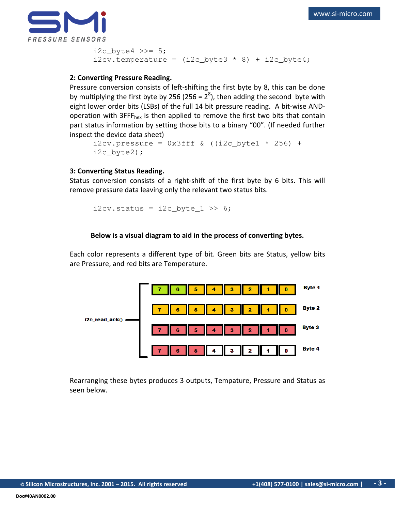

```
i2c byte4 \gg= 5;
i2cv.temperature = (i2c_byte3 * 8) + i2c_byte4;
```
#### 2: Converting Pressure Reading.

Pressure conversion consists of left-shifting the first byte by 8, this can be done by multiplying the first byte by 256 (256 =  $2^8$ ), then adding the second byte with eight lower order bits (LSBs) of the full 14 bit pressure reading. A bit-wise ANDoperation with  $3$ FFF<sub>hex</sub> is then applied to remove the first two bits that contain part status information by setting those bits to a binary "00". (If needed further inspect the device data sheet)

```
i2cv. pressure = 0x3fff & ((i2c_byte1 * 256) +i2c_byte2);
```
#### 3: Converting Status Reading.

Status conversion consists of a right-shift of the first byte by 6 bits. This will remove pressure data leaving only the relevant two status bits.

```
i2cv.status = i2c_byte_1 \gg 6;
```
#### Below is a visual diagram to aid in the process of converting bytes.

Each color represents a different type of bit. Green bits are Status, yellow bits are Pressure, and red bits are Temperature.



Rearranging these bytes produces 3 outputs, Tempature, Pressure and Status as seen below.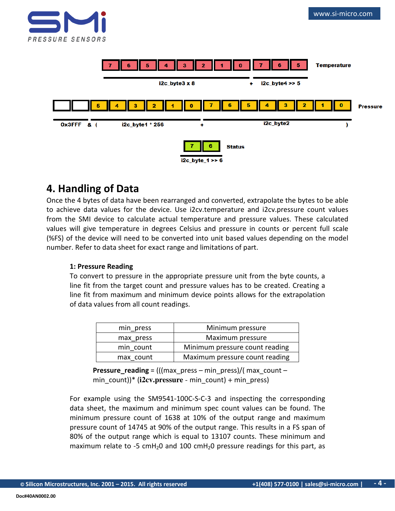

# 4. Handling of Data

Once the 4 bytes of data have been rearranged and converted, extrapolate the bytes to be able to achieve data values for the device. Use i2cv.temperature and i2cv.pressure count values from the SMI device to calculate actual temperature and pressure values. These calculated values will give temperature in degrees Celsius and pressure in counts or percent full scale (%FS) of the device will need to be converted into unit based values depending on the model number. Refer to data sheet for exact range and limitations of part.

### 1: Pressure Reading

To convert to pressure in the appropriate pressure unit from the byte counts, a line fit from the target count and pressure values has to be created. Creating a line fit from maximum and minimum device points allows for the extrapolation of data values from all count readings.

| min press | Minimum pressure               |
|-----------|--------------------------------|
| max press | Maximum pressure               |
| min count | Minimum pressure count reading |
| max count | Maximum pressure count reading |

**Pressure reading =** (((max press – min\_press)/( max\_count – min\_count))\* (**i2cv.pressure** - min\_count) + min\_press)

For example using the SM9541-100C-S-C-3 and inspecting the corresponding data sheet, the maximum and minimum spec count values can be found. The minimum pressure count of 1638 at 10% of the output range and maximum pressure count of 14745 at 90% of the output range. This results in a FS span of 80% of the output range which is equal to 13107 counts. These minimum and maximum relate to -5 cmH<sub>2</sub>O and 100 cmH<sub>2</sub>O pressure readings for this part, as

www.si-micro.com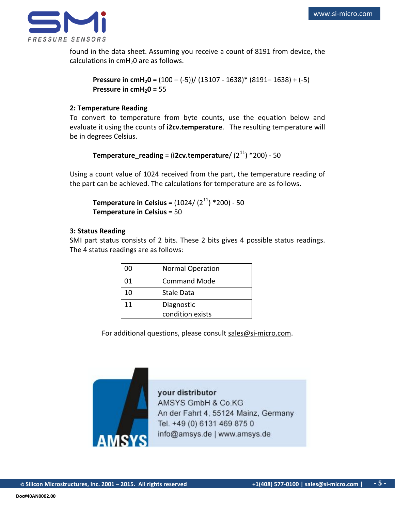

found in the data sheet. Assuming you receive a count of 8191 from device, the calculations in cmH<sub>2</sub>0 are as follows.

**Pressure in cmH<sub>2</sub>0** =  $(100 - (-5))/ (13107 - 1638)^* (8191 - 1638) + (-5)$ Pressure in  $cmH<sub>2</sub>0 = 55$ 

### 2: Temperature Reading

To convert to temperature from byte counts, use the equation below and evaluate it using the counts of i2cv.temperature. The resulting temperature will be in degrees Celsius.

```
Temperature reading = (i2cv.temperature/ (2^{11}) *200) - 50
```
Using a count value of 1024 received from the part, the temperature reading of the part can be achieved. The calculations for temperature are as follows.

**Temperature in Celsius =**  $(1024/(2^{11}) * 200) - 50$ Temperature in Celsius = 50

### 3: Status Reading

SMI part status consists of 2 bits. These 2 bits gives 4 possible status readings. The 4 status readings are as follows:

| 00 | <b>Normal Operation</b> |
|----|-------------------------|
| 01 | <b>Command Mode</b>     |
| 10 | <b>Stale Data</b>       |
| 11 | Diagnostic              |
|    | condition exists        |

For additional questions, please consult sales@si-micro.com.



your distributor AMSYS GmbH & Co.KG An der Fahrt 4, 55124 Mainz, Germany Tel. +49 (0) 6131 469 875 0 info@amsys.de | www.amsys.de